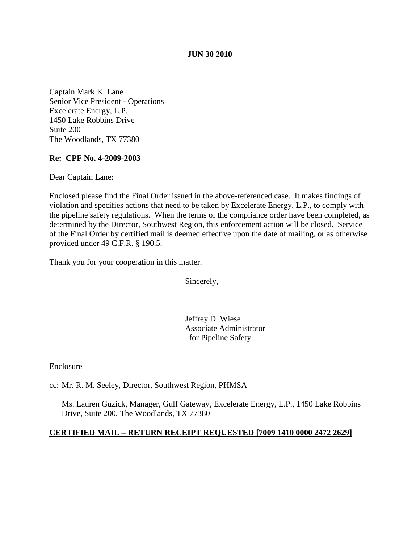### **JUN 30 2010**

Captain Mark K. Lane Senior Vice President - Operations Excelerate Energy, L.P. 1450 Lake Robbins Drive Suite 200 The Woodlands, TX 77380

# **Re: CPF No. 4-2009-2003**

Dear Captain Lane:

Enclosed please find the Final Order issued in the above-referenced case. It makes findings of violation and specifies actions that need to be taken by Excelerate Energy, L.P., to comply with the pipeline safety regulations. When the terms of the compliance order have been completed, as determined by the Director, Southwest Region, this enforcement action will be closed. Service of the Final Order by certified mail is deemed effective upon the date of mailing, or as otherwise provided under 49 C.F.R. § 190.5.

Thank you for your cooperation in this matter.

Sincerely,

Jeffrey D. Wiese Associate Administrator for Pipeline Safety

Enclosure

cc: Mr. R. M. Seeley, Director, Southwest Region, PHMSA

Ms. Lauren Guzick, Manager, Gulf Gateway, Excelerate Energy, L.P., 1450 Lake Robbins Drive, Suite 200, The Woodlands, TX 77380

#### **CERTIFIED MAIL – RETURN RECEIPT REQUESTED [7009 1410 0000 2472 2629]**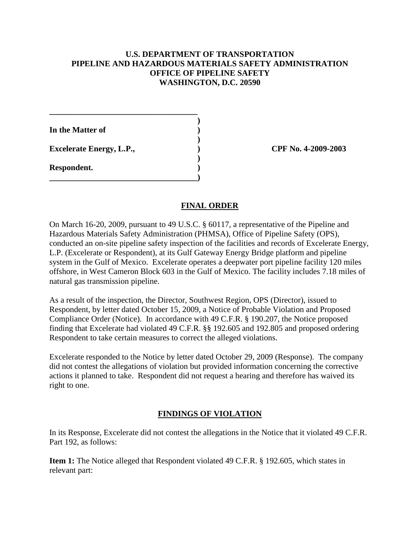### **U.S. DEPARTMENT OF TRANSPORTATION PIPELINE AND HAZARDOUS MATERIALS SAFETY ADMINISTRATION OFFICE OF PIPELINE SAFETY WASHINGTON, D.C. 20590**

**)**

**)**

**)**

**In the Matter of )**

**Excelerate Energy, L.P., ) CPF No. 4-2009-2003**

**\_\_\_\_\_\_\_\_\_\_\_\_\_\_\_\_\_\_\_\_\_\_\_\_\_\_\_\_\_\_\_\_\_\_\_\_**

**\_\_\_\_\_\_\_\_\_\_\_\_\_\_\_\_\_\_\_\_\_\_\_\_\_\_\_\_\_\_\_\_\_\_\_\_)**

**Respondent. )**

# **FINAL ORDER**

On March 16-20, 2009, pursuant to 49 U.S.C. § 60117, a representative of the Pipeline and Hazardous Materials Safety Administration (PHMSA), Office of Pipeline Safety (OPS), conducted an on-site pipeline safety inspection of the facilities and records of Excelerate Energy, L.P. (Excelerate or Respondent), at its Gulf Gateway Energy Bridge platform and pipeline system in the Gulf of Mexico. Excelerate operates a deepwater port pipeline facility 120 miles offshore, in West Cameron Block 603 in the Gulf of Mexico. The facility includes 7.18 miles of natural gas transmission pipeline.

As a result of the inspection, the Director, Southwest Region, OPS (Director), issued to Respondent, by letter dated October 15, 2009, a Notice of Probable Violation and Proposed Compliance Order (Notice). In accordance with 49 C.F.R. § 190.207, the Notice proposed finding that Excelerate had violated 49 C.F.R. §§ 192.605 and 192.805 and proposed ordering Respondent to take certain measures to correct the alleged violations.

Excelerate responded to the Notice by letter dated October 29, 2009 (Response). The company did not contest the allegations of violation but provided information concerning the corrective actions it planned to take. Respondent did not request a hearing and therefore has waived its right to one.

# **FINDINGS OF VIOLATION**

In its Response, Excelerate did not contest the allegations in the Notice that it violated 49 C.F.R. Part 192, as follows:

**Item 1:** The Notice alleged that Respondent violated 49 C.F.R. § 192.605, which states in relevant part: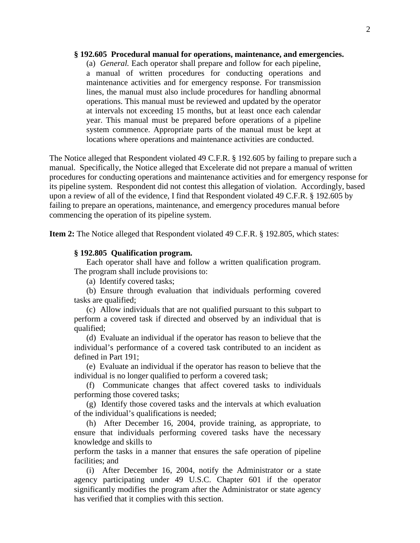#### **§ 192.605 Procedural manual for operations, maintenance, and emergencies.**

(a) *General.* Each operator shall prepare and follow for each pipeline, a manual of written procedures for conducting operations and maintenance activities and for emergency response. For transmission lines, the manual must also include procedures for handling abnormal operations. This manual must be reviewed and updated by the operator at intervals not exceeding 15 months, but at least once each calendar year. This manual must be prepared before operations of a pipeline system commence. Appropriate parts of the manual must be kept at locations where operations and maintenance activities are conducted.

The Notice alleged that Respondent violated 49 C.F.R. § 192.605 by failing to prepare such a manual. Specifically, the Notice alleged that Excelerate did not prepare a manual of written procedures for conducting operations and maintenance activities and for emergency response for its pipeline system. Respondent did not contest this allegation of violation. Accordingly, based upon a review of all of the evidence, I find that Respondent violated 49 C.F.R. § 192.605 by failing to prepare an operations, maintenance, and emergency procedures manual before commencing the operation of its pipeline system.

**Item 2:** The Notice alleged that Respondent violated 49 C.F.R. § 192.805, which states:

#### **§ 192.805 Qualification program.**

 Each operator shall have and follow a written qualification program. The program shall include provisions to:

(a) Identify covered tasks;

(b) Ensure through evaluation that individuals performing covered tasks are qualified;

(c) Allow individuals that are not qualified pursuant to this subpart to perform a covered task if directed and observed by an individual that is qualified;

(d) Evaluate an individual if the operator has reason to believe that the individual's performance of a covered task contributed to an incident as defined in Part 191;

(e) Evaluate an individual if the operator has reason to believe that the individual is no longer qualified to perform a covered task;

(f) Communicate changes that affect covered tasks to individuals performing those covered tasks;

(g) Identify those covered tasks and the intervals at which evaluation of the individual's qualifications is needed;

(h) After December 16, 2004, provide training, as appropriate, to ensure that individuals performing covered tasks have the necessary knowledge and skills to

perform the tasks in a manner that ensures the safe operation of pipeline facilities; and

(i) After December 16, 2004, notify the Administrator or a state agency participating under 49 U.S.C. Chapter 601 if the operator significantly modifies the program after the Administrator or state agency has verified that it complies with this section.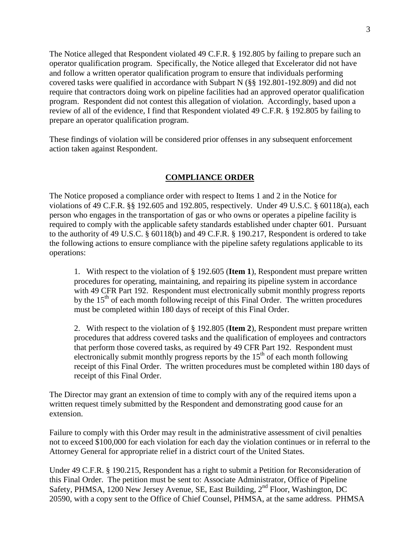The Notice alleged that Respondent violated 49 C.F.R. § 192.805 by failing to prepare such an operator qualification program. Specifically, the Notice alleged that Excelerator did not have and follow a written operator qualification program to ensure that individuals performing covered tasks were qualified in accordance with Subpart N (§§ 192.801-192.809) and did not require that contractors doing work on pipeline facilities had an approved operator qualification program. Respondent did not contest this allegation of violation. Accordingly, based upon a review of all of the evidence, I find that Respondent violated 49 C.F.R. § 192.805 by failing to prepare an operator qualification program.

These findings of violation will be considered prior offenses in any subsequent enforcement action taken against Respondent.

### **COMPLIANCE ORDER**

The Notice proposed a compliance order with respect to Items 1 and 2 in the Notice for violations of 49 C.F.R. §§ 192.605 and 192.805, respectively. Under 49 U.S.C. § 60118(a), each person who engages in the transportation of gas or who owns or operates a pipeline facility is required to comply with the applicable safety standards established under chapter 601. Pursuant to the authority of 49 U.S.C. § 60118(b) and 49 C.F.R. § 190.217, Respondent is ordered to take the following actions to ensure compliance with the pipeline safety regulations applicable to its operations:

1. With respect to the violation of § 192.605 (**Item 1**), Respondent must prepare written procedures for operating, maintaining, and repairing its pipeline system in accordance with 49 CFR Part 192. Respondent must electronically submit monthly progress reports by the  $15<sup>th</sup>$  of each month following receipt of this Final Order. The written procedures must be completed within 180 days of receipt of this Final Order.

2. With respect to the violation of § 192.805 (**Item 2**), Respondent must prepare written procedures that address covered tasks and the qualification of employees and contractors that perform those covered tasks, as required by 49 CFR Part 192. Respondent must electronically submit monthly progress reports by the  $15<sup>th</sup>$  of each month following receipt of this Final Order. The written procedures must be completed within 180 days of receipt of this Final Order.

The Director may grant an extension of time to comply with any of the required items upon a written request timely submitted by the Respondent and demonstrating good cause for an extension.

Failure to comply with this Order may result in the administrative assessment of civil penalties not to exceed \$100,000 for each violation for each day the violation continues or in referral to the Attorney General for appropriate relief in a district court of the United States.

Under 49 C.F.R. § 190.215, Respondent has a right to submit a Petition for Reconsideration of this Final Order. The petition must be sent to: Associate Administrator, Office of Pipeline Safety, PHMSA, 1200 New Jersey Avenue, SE, East Building, 2<sup>nd</sup> Floor, Washington, DC 20590, with a copy sent to the Office of Chief Counsel, PHMSA, at the same address. PHMSA